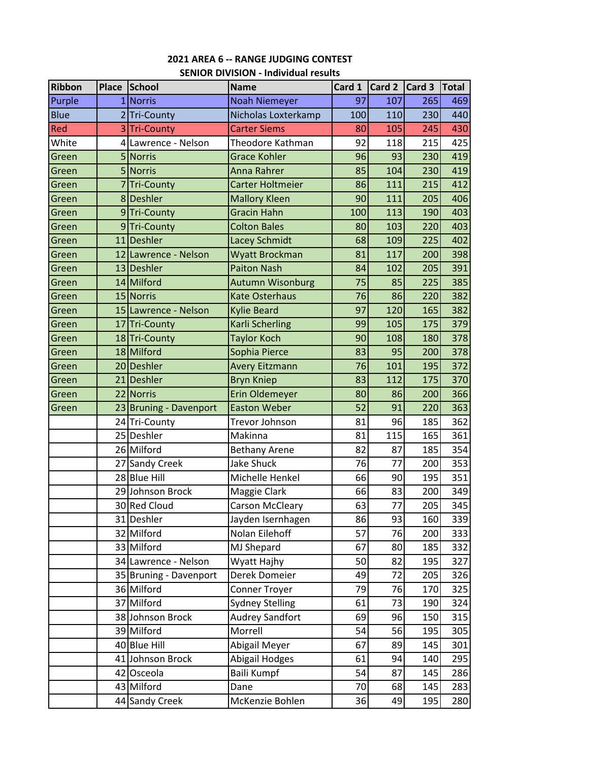# **2021 AREA 6 -- RANGE JUDGING CONTEST SENIOR DIVISION - Individual results**

| <b>Ribbon</b> |                | Place School           | <b>Name</b>             | Card 1 | Card 2 Card 3 |     | <b>Total</b> |
|---------------|----------------|------------------------|-------------------------|--------|---------------|-----|--------------|
| Purple        |                | 1 Norris               | <b>Noah Niemeyer</b>    | 97     | 107           | 265 | 469          |
| <b>Blue</b>   |                | 2 Tri-County           | Nicholas Loxterkamp     | 100    | 110           | 230 | 440          |
| Red           | $\overline{3}$ | <b>Tri-County</b>      | <b>Carter Siems</b>     | 80     | 105           | 245 | 430          |
| White         |                | 4 Lawrence - Nelson    | Theodore Kathman        | 92     | 118           | 215 | 425          |
| Green         |                | 5 Norris               | <b>Grace Kohler</b>     | 96     | 93            | 230 | 419          |
| Green         |                | 5 Norris               | <b>Anna Rahrer</b>      | 85     | 104           | 230 | 419          |
| Green         | $\overline{7}$ | <b>Tri-County</b>      | Carter Holtmeier        | 86     | 111           | 215 | 412          |
| Green         |                | 8Deshler               | <b>Mallory Kleen</b>    | 90     | 111           | 205 | 406          |
| Green         |                | 9Tri-County            | <b>Gracin Hahn</b>      | 100    | 113           | 190 | 403          |
| Green         |                | 9 Tri-County           | <b>Colton Bales</b>     | 80     | 103           | 220 | 403          |
| Green         |                | 11 Deshler             | <b>Lacey Schmidt</b>    | 68     | 109           | 225 | 402          |
| Green         |                | 12 Lawrence - Nelson   | Wyatt Brockman          | 81     | 117           | 200 | 398          |
| Green         |                | 13 Deshler             | <b>Paiton Nash</b>      | 84     | 102           | 205 | 391          |
| Green         |                | 14 Milford             | <b>Autumn Wisonburg</b> | 75     | 85            | 225 | 385          |
| Green         |                | 15 Norris              | <b>Kate Osterhaus</b>   | 76     | 86            | 220 | 382          |
| Green         |                | 15 Lawrence - Nelson   | <b>Kylie Beard</b>      | 97     | 120           | 165 | 382          |
| Green         |                | 17 Tri-County          | <b>Karli Scherling</b>  | 99     | 105           | 175 | 379          |
| Green         |                | 18Tri-County           | <b>Taylor Koch</b>      | 90     | 108           | 180 | 378          |
| Green         |                | 18 Milford             | Sophia Pierce           | 83     | 95            | 200 | 378          |
| Green         |                | 20 Deshler             | <b>Avery Eitzmann</b>   | 76     | 101           | 195 | 372          |
| Green         |                | 21 Deshler             | <b>Bryn Kniep</b>       | 83     | 112           | 175 | 370          |
| Green         |                | 22 Norris              | <b>Erin Oldemeyer</b>   | 80     | 86            | 200 | 366          |
| Green         |                | 23 Bruning - Davenport | <b>Easton Weber</b>     | 52     | 91            | 220 | 363          |
|               |                | 24 Tri-County          | Trevor Johnson          | 81     | 96            | 185 | 362          |
|               |                | 25 Deshler             | Makinna                 | 81     | 115           | 165 | 361          |
|               |                | 26 Milford             | <b>Bethany Arene</b>    | 82     | 87            | 185 | 354          |
|               |                | 27 Sandy Creek         | <b>Jake Shuck</b>       | 76     | 77            | 200 | 353          |
|               |                | 28 Blue Hill           | Michelle Henkel         | 66     | 90            | 195 | 351          |
|               |                | 29 Johnson Brock       | Maggie Clark            | 66     | 83            | 200 | 349          |
|               |                | 30 Red Cloud           | <b>Carson McCleary</b>  | 63     | 77            | 205 | 345          |
|               |                | 31 Deshler             | Jayden Isernhagen       | 86     | 93            | 160 | 339          |
|               |                | 32 Milford             | Nolan Eilehoff          | 57     | 76            | 200 | 333          |
|               |                | 33 Milford             | MJ Shepard              | 67     | 80            | 185 | 332          |
|               |                | 34 Lawrence - Nelson   | Wyatt Hajhy             | 50     | 82            | 195 | 327          |
|               |                | 35 Bruning - Davenport | Derek Domeier           | 49     | 72            | 205 | 326          |
|               |                | 36 Milford             | Conner Troyer           | 79     | 76            | 170 | 325          |
|               |                | 37 Milford             | <b>Sydney Stelling</b>  | 61     | 73            | 190 | 324          |
|               |                | 38 Johnson Brock       | <b>Audrey Sandfort</b>  | 69     | 96            | 150 | 315          |
|               |                | 39 Milford             | Morrell                 | 54     | 56            | 195 | 305          |
|               |                | 40 Blue Hill           | Abigail Meyer           | 67     | 89            | 145 | 301          |
|               |                | 41 Johnson Brock       | Abigail Hodges          | 61     | 94            | 140 | 295          |
|               |                | 42 Osceola             | Baili Kumpf             | 54     | 87            | 145 | 286          |
|               |                | 43 Milford             | Dane                    | 70     | 68            | 145 | 283          |
|               |                | 44 Sandy Creek         | McKenzie Bohlen         | 36     | 49            | 195 | 280          |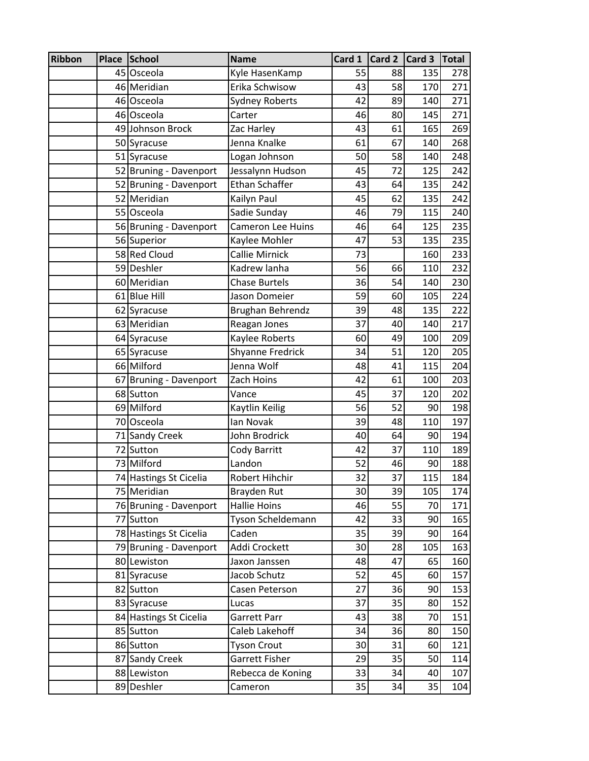| <b>Ribbon</b> | <b>Place</b> | School                 | <b>Name</b>           | Card 1 | Card 2 | Card 3 | Total |
|---------------|--------------|------------------------|-----------------------|--------|--------|--------|-------|
|               |              | 45 Osceola             | Kyle HasenKamp        | 55     | 88     | 135    | 278   |
|               |              | 46 Meridian            | Erika Schwisow        | 43     | 58     | 170    | 271   |
|               |              | 46 Osceola             | <b>Sydney Roberts</b> | 42     | 89     | 140    | 271   |
|               |              | 46 Osceola             | Carter                | 46     | 80     | 145    | 271   |
|               |              | 49 Johnson Brock       | Zac Harley            | 43     | 61     | 165    | 269   |
|               |              | 50 Syracuse            | Jenna Knalke          | 61     | 67     | 140    | 268   |
|               |              | 51 Syracuse            | Logan Johnson         | 50     | 58     | 140    | 248   |
|               |              | 52 Bruning - Davenport | Jessalynn Hudson      | 45     | 72     | 125    | 242   |
|               |              | 52 Bruning - Davenport | Ethan Schaffer        | 43     | 64     | 135    | 242   |
|               |              | 52 Meridian            | Kailyn Paul           | 45     | 62     | 135    | 242   |
|               |              | 55 Osceola             | Sadie Sunday          | 46     | 79     | 115    | 240   |
|               |              | 56 Bruning - Davenport | Cameron Lee Huins     | 46     | 64     | 125    | 235   |
|               |              | 56 Superior            | Kaylee Mohler         | 47     | 53     | 135    | 235   |
|               |              | 58 Red Cloud           | <b>Callie Mirnick</b> | 73     |        | 160    | 233   |
|               |              | 59 Deshler             | Kadrew lanha          | 56     | 66     | 110    | 232   |
|               |              | 60 Meridian            | <b>Chase Burtels</b>  | 36     | 54     | 140    | 230   |
|               |              | 61 Blue Hill           | Jason Domeier         | 59     | 60     | 105    | 224   |
|               |              | 62 Syracuse            | Brughan Behrendz      | 39     | 48     | 135    | 222   |
|               |              | 63 Meridian            | Reagan Jones          | 37     | 40     | 140    | 217   |
|               |              | 64 Syracuse            | Kaylee Roberts        | 60     | 49     | 100    | 209   |
|               |              | 65 Syracuse            | Shyanne Fredrick      | 34     | 51     | 120    | 205   |
|               |              | 66 Milford             | Jenna Wolf            | 48     | 41     | 115    | 204   |
|               |              | 67 Bruning - Davenport | Zach Hoins            | 42     | 61     | 100    | 203   |
|               |              | 68 Sutton              | Vance                 | 45     | 37     | 120    | 202   |
|               |              | 69 Milford             | Kaytlin Keilig        | 56     | 52     | 90     | 198   |
|               |              | 70 Osceola             | Ian Novak             | 39     | 48     | 110    | 197   |
|               |              | 71 Sandy Creek         | John Brodrick         | 40     | 64     | 90     | 194   |
|               |              | 72 Sutton              | Cody Barritt          | 42     | 37     | 110    | 189   |
|               |              | 73 Milford             | Landon                | 52     | 46     | 90     | 188   |
|               |              | 74 Hastings St Cicelia | Robert Hihchir        | 32     | 37     | 115    | 184   |
|               |              | 75 Meridian            | Brayden Rut           | 30     | 39     | 105    | 174   |
|               |              | 76 Bruning - Davenport | <b>Hallie Hoins</b>   | 46     | 55     | 70     | 171   |
|               |              | 77 Sutton              | Tyson Scheldemann     | 42     | 33     | 90     | 165   |
|               |              | 78 Hastings St Cicelia | Caden                 | 35     | 39     | 90     | 164   |
|               |              | 79 Bruning - Davenport | Addi Crockett         | 30     | 28     | 105    | 163   |
|               |              | 80 Lewiston            | Jaxon Janssen         | 48     | 47     | 65     | 160   |
|               |              | 81 Syracuse            | Jacob Schutz          | 52     | 45     | 60     | 157   |
|               |              | 82 Sutton              | Casen Peterson        | 27     | 36     | 90     | 153   |
|               |              | 83 Syracuse            | Lucas                 | 37     | 35     | 80     | 152   |
|               |              | 84 Hastings St Cicelia | Garrett Parr          | 43     | 38     | 70     | 151   |
|               |              | 85 Sutton              | Caleb Lakehoff        | 34     | 36     | 80     | 150   |
|               |              | 86 Sutton              | <b>Tyson Crout</b>    | 30     | 31     | 60     | 121   |
|               |              | 87 Sandy Creek         | Garrett Fisher        | 29     | 35     | 50     | 114   |
|               |              | 88 Lewiston            | Rebecca de Koning     | 33     | 34     | 40     | 107   |
|               |              | 89 Deshler             | Cameron               | 35     | 34     | 35     | 104   |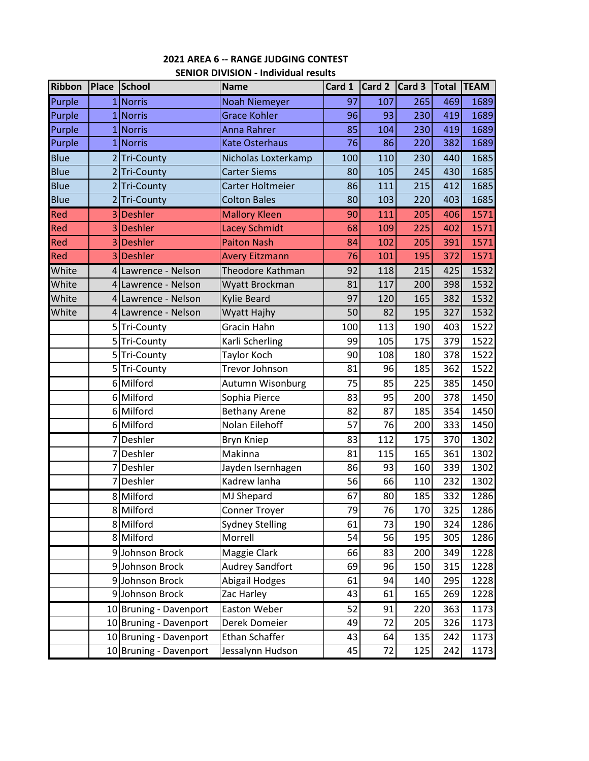| <b>Ribbon</b> | <b>Place</b> | School                 | <b>Name</b>            | Card 1 | Card 2 | Card 3 | <b>Total</b> | <b>TEAM</b> |
|---------------|--------------|------------------------|------------------------|--------|--------|--------|--------------|-------------|
| Purple        |              | 1 Norris               | <b>Noah Niemeyer</b>   | 97     | 107    | 265    | 469          | 1689        |
| Purple        |              | Norris                 | <b>Grace Kohler</b>    | 96     | 93     | 230    | 419          | 1689        |
| Purple        | 1            | Norris                 | <b>Anna Rahrer</b>     | 85     | 104    | 230    | 419          | 1689        |
| Purple        |              | 1 Norris               | <b>Kate Osterhaus</b>  | 76     | 86     | 220    | 382          | 1689        |
| <b>Blue</b>   |              | 2Tri-County            | Nicholas Loxterkamp    | 100    | 110    | 230    | 440          | 1685        |
| <b>Blue</b>   |              | 2 Tri-County           | <b>Carter Siems</b>    | 80     | 105    | 245    | 430          | 1685        |
| <b>Blue</b>   |              | 2 Tri-County           | Carter Holtmeier       | 86     | 111    | 215    | 412          | 1685        |
| <b>Blue</b>   |              | 2 Tri-County           | <b>Colton Bales</b>    | 80     | 103    | 220    | 403          | 1685        |
| Red           | 3            | <b>Deshler</b>         | <b>Mallory Kleen</b>   | 90     | 111    | 205    | 406          | 1571        |
| Red           | 3            | <b>Deshler</b>         | <b>Lacey Schmidt</b>   | 68     | 109    | 225    | 402          | 1571        |
| Red           | 3            | <b>Deshler</b>         | <b>Paiton Nash</b>     | 84     | 102    | 205    | 391          | 1571        |
| Red           |              | 3 Deshler              | <b>Avery Eitzmann</b>  | 76     | 101    | 195    | 372          | 1571        |
| White         |              | 4 Lawrence - Nelson    | Theodore Kathman       | 92     | 118    | 215    | 425          | 1532        |
| White         |              | 4 Lawrence - Nelson    | Wyatt Brockman         | 81     | 117    | 200    | 398          | 1532        |
| White         |              | 4 Lawrence - Nelson    | <b>Kylie Beard</b>     | 97     | 120    | 165    | 382          | 1532        |
| White         |              | 4 Lawrence - Nelson    | Wyatt Hajhy            | 50     | 82     | 195    | 327          | 1532        |
|               |              | 5Tri-County            | Gracin Hahn            | 100    | 113    | 190    | 403          | 1522        |
|               | 5            | Tri-County             | Karli Scherling        | 99     | 105    | 175    | 379          | 1522        |
|               |              | 5 Tri-County           | Taylor Koch            | 90     | 108    | 180    | 378          | 1522        |
|               |              | 5 Tri-County           | Trevor Johnson         | 81     | 96     | 185    | 362          | 1522        |
|               |              | 6 Milford              | Autumn Wisonburg       | 75     | 85     | 225    | 385          | 1450        |
|               |              | 6 Milford              | Sophia Pierce          | 83     | 95     | 200    | 378          | 1450        |
|               |              | 6 Milford              | <b>Bethany Arene</b>   | 82     | 87     | 185    | 354          | 1450        |
|               |              | 6 Milford              | Nolan Eilehoff         | 57     | 76     | 200    | 333          | 1450        |
|               |              | Deshler                | <b>Bryn Kniep</b>      | 83     | 112    | 175    | 370          | 1302        |
|               |              | Deshler                | Makinna                | 81     | 115    | 165    | 361          | 1302        |
|               |              | Deshler                | Jayden Isernhagen      | 86     | 93     | 160    | 339          | 1302        |
|               |              | Deshler                | Kadrew lanha           | 56     | 66     | 110    | 232          | 1302        |
|               |              | 8 Milford              | MJ Shepard             | 67     | 80     | 185    | 332          | 1286        |
|               |              | 8 Milford              | <b>Conner Troyer</b>   | 79     | 76     | 170    | 325          | 1286        |
|               |              | 8 Milford              | <b>Sydney Stelling</b> | 61     | 73     | 190    | 324          | 1286        |
|               |              | 8 Milford              | Morrell                | 54     | 56     | 195    | 305          | 1286        |
|               |              | 9Johnson Brock         | Maggie Clark           | 66     | 83     | 200    | 349          | 1228        |
|               |              | 9 Johnson Brock        | Audrey Sandfort        | 69     | 96     | 150    | 315          | 1228        |
|               |              | 9 Johnson Brock        | Abigail Hodges         | 61     | 94     | 140    | 295          | 1228        |
|               |              | 9Johnson Brock         | Zac Harley             | 43     | 61     | 165    | 269          | 1228        |
|               |              | 10 Bruning - Davenport | Easton Weber           | 52     | 91     | 220    | 363          | 1173        |
|               |              | 10 Bruning - Davenport | Derek Domeier          | 49     | 72     | 205    | 326          | 1173        |
|               |              | 10 Bruning - Davenport | Ethan Schaffer         | 43     | 64     | 135    | 242          | 1173        |
|               |              | 10 Bruning - Davenport | Jessalynn Hudson       | 45     | 72     | 125    | 242          | 1173        |

#### **2021 AREA 6 -- RANGE JUDGING CONTEST SENIOR DIVISION - Individual results**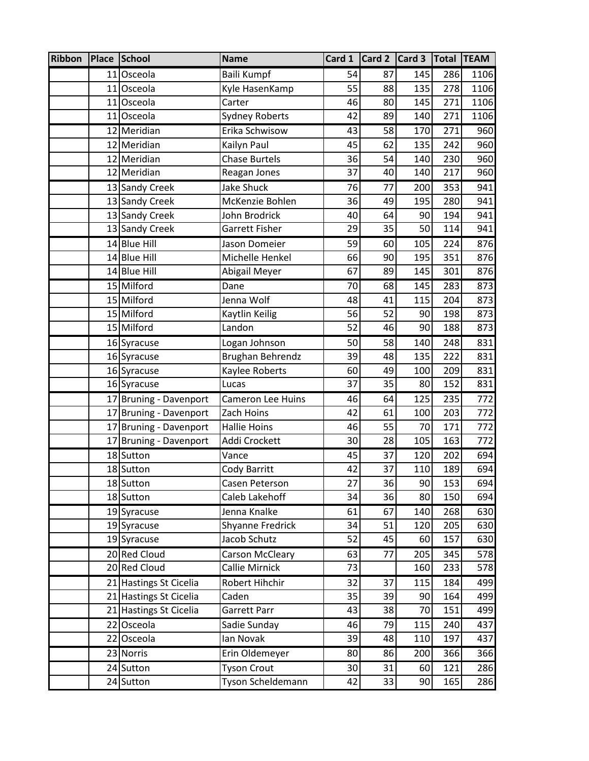| Ribbon | Place School           | <b>Name</b>             | Card 1          |    | Card 2 Card 3 Total TEAM |     |      |
|--------|------------------------|-------------------------|-----------------|----|--------------------------|-----|------|
|        | 11 Osceola             | <b>Baili Kumpf</b>      | 54              | 87 | 145                      | 286 | 1106 |
|        | 11 Osceola             | Kyle HasenKamp          | 55              | 88 | 135                      | 278 | 1106 |
|        | 11 Osceola             | Carter                  | 46              | 80 | 145                      | 271 | 1106 |
|        | 11 Osceola             | <b>Sydney Roberts</b>   | 42              | 89 | 140                      | 271 | 1106 |
|        | 12 Meridian            | Erika Schwisow          | 43              | 58 | 170                      | 271 | 960  |
|        | 12 Meridian            | Kailyn Paul             | 45              | 62 | 135                      | 242 | 960  |
|        | 12 Meridian            | Chase Burtels           | 36              | 54 | 140                      | 230 | 960  |
|        | 12 Meridian            | Reagan Jones            | 37              | 40 | 140                      | 217 | 960  |
|        | 13 Sandy Creek         | <b>Jake Shuck</b>       | 76              | 77 | 200                      | 353 | 941  |
|        | 13 Sandy Creek         | McKenzie Bohlen         | 36              | 49 | 195                      | 280 | 941  |
|        | 13 Sandy Creek         | John Brodrick           | 40              | 64 | 90                       | 194 | 941  |
|        | 13 Sandy Creek         | Garrett Fisher          | 29              | 35 | 50                       | 114 | 941  |
|        | 14 Blue Hill           | Jason Domeier           | 59              | 60 | 105                      | 224 | 876  |
|        | 14 Blue Hill           | Michelle Henkel         | 66              | 90 | 195                      | 351 | 876  |
|        | 14 Blue Hill           | Abigail Meyer           | 67              | 89 | 145                      | 301 | 876  |
|        | 15 Milford             | Dane                    | 70              | 68 | 145                      | 283 | 873  |
|        | 15 Milford             | Jenna Wolf              | 48              | 41 | 115                      | 204 | 873  |
|        | 15 Milford             | Kaytlin Keilig          | 56              | 52 | 90                       | 198 | 873  |
|        | 15 Milford             | Landon                  | 52              | 46 | 90                       | 188 | 873  |
|        | 16 Syracuse            | Logan Johnson           | 50              | 58 | 140                      | 248 | 831  |
|        | 16 Syracuse            | <b>Brughan Behrendz</b> | 39              | 48 | 135                      | 222 | 831  |
|        | 16 Syracuse            | Kaylee Roberts          | 60              | 49 | 100                      | 209 | 831  |
|        | 16 Syracuse            | Lucas                   | 37              | 35 | 80                       | 152 | 831  |
|        | 17 Bruning - Davenport | Cameron Lee Huins       | 46              | 64 | 125                      | 235 | 772  |
|        | 17 Bruning - Davenport | Zach Hoins              | 42              | 61 | 100                      | 203 | 772  |
|        | 17 Bruning - Davenport | <b>Hallie Hoins</b>     | 46              | 55 | 70                       | 171 | 772  |
|        | 17 Bruning - Davenport | Addi Crockett           | 30              | 28 | 105                      | 163 | 772  |
|        | 18 Sutton              | Vance                   | 45              | 37 | 120                      | 202 | 694  |
|        | 18 Sutton              | Cody Barritt            | 42              | 37 | 110                      | 189 | 694  |
|        | $\overline{18}$ Sutton | Casen Peterson          | $\overline{27}$ | 36 | 90                       | 153 | 694  |
|        | 18 Sutton              | Caleb Lakehoff          | 34              | 36 | 80                       | 150 | 694  |
|        | 19 Syracuse            | Jenna Knalke            | 61              | 67 | 140                      | 268 | 630  |
|        | 19 Syracuse            | <b>Shyanne Fredrick</b> | 34              | 51 | 120                      | 205 | 630  |
|        | 19 Syracuse            | Jacob Schutz            | 52              | 45 | 60                       | 157 | 630  |
|        | 20 Red Cloud           | Carson McCleary         | 63              | 77 | 205                      | 345 | 578  |
|        | 20 Red Cloud           | Callie Mirnick          | 73              |    | 160                      | 233 | 578  |
|        | 21 Hastings St Cicelia | Robert Hihchir          | 32              | 37 | 115                      | 184 | 499  |
|        | 21 Hastings St Cicelia | Caden                   | 35              | 39 | 90                       | 164 | 499  |
|        | 21 Hastings St Cicelia | Garrett Parr            | 43              | 38 | 70                       | 151 | 499  |
|        | 22 Osceola             | Sadie Sunday            | 46              | 79 | 115                      | 240 | 437  |
|        | 22 Osceola             | lan Novak               | 39              | 48 | 110                      | 197 | 437  |
|        | 23 Norris              | Erin Oldemeyer          | 80              | 86 | 200                      | 366 | 366  |
|        | 24 Sutton              | <b>Tyson Crout</b>      | 30              | 31 | 60                       | 121 | 286  |
|        | 24 Sutton              | Tyson Scheldemann       | 42              | 33 | 90                       | 165 | 286  |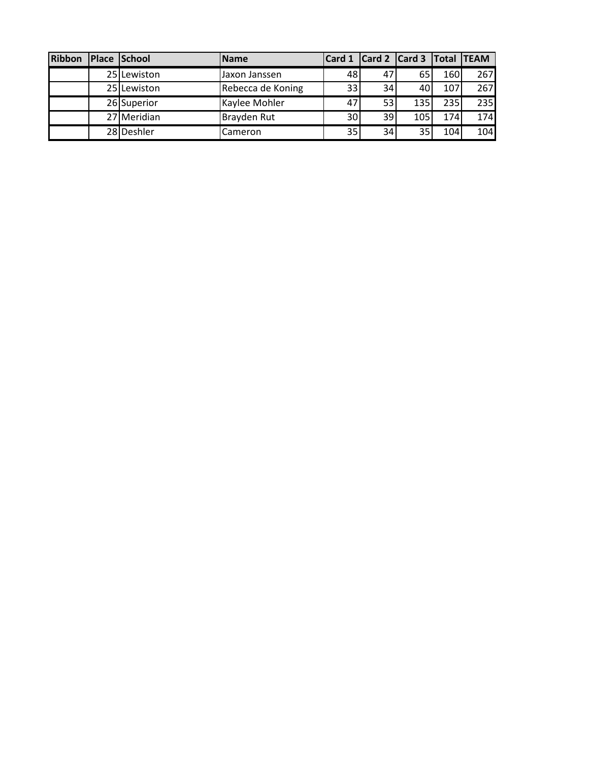| <b>Ribbon</b> | <b>Place School</b> | <b>Name</b>        | Card 1 |    | Card 2 Card 3 Total TEAM |     |     |
|---------------|---------------------|--------------------|--------|----|--------------------------|-----|-----|
|               | 25 Lewiston         | Jaxon Janssen      | 48     | 47 | 65                       | 160 | 267 |
|               | 25 Lewiston         | Rebecca de Koning  | 33     | 34 | 40                       | 107 | 267 |
|               | 26 Superior         | Kaylee Mohler      | 47     | 53 | 135                      | 235 | 235 |
|               | 27 Meridian         | <b>Brayden Rut</b> | 30     | 39 | 105                      | 174 | 174 |
|               | 28 Deshler          | Cameron            | 35     | 34 | 35                       | 104 | 104 |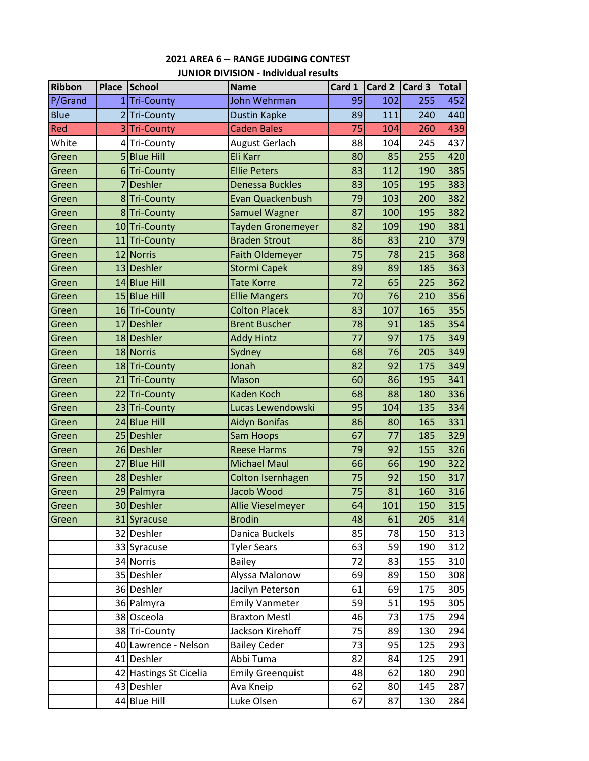# **2021 AREA 6 -- RANGE JUDGING CONTEST JUNIOR DIVISION - Individual results**

| <b>Ribbon</b> |                | Place School           | <b>Name</b>              | Card 1 | Card 2 Card 3 |     | Total |
|---------------|----------------|------------------------|--------------------------|--------|---------------|-----|-------|
| P/Grand       |                | 1 Tri-County           | John Wehrman             | 95     | 102           | 255 | 452   |
| <b>Blue</b>   | $\overline{2}$ | <b>Tri-County</b>      | Dustin Kapke             | 89     | 111           | 240 | 440   |
| Red           | 3              | <b>Tri-County</b>      | <b>Caden Bales</b>       | 75     | 104           | 260 | 439   |
| White         | 4              | <b>Tri-County</b>      | August Gerlach           | 88     | 104           | 245 | 437   |
| Green         |                | 5 Blue Hill            | Eli Karr                 | 80     | 85            | 255 | 420   |
| Green         |                | 6Tri-County            | <b>Ellie Peters</b>      | 83     | 112           | 190 | 385   |
| Green         | 7              | <b>Deshler</b>         | <b>Denessa Buckles</b>   | 83     | 105           | 195 | 383   |
| Green         |                | 8Tri-County            | Evan Quackenbush         | 79     | 103           | 200 | 382   |
| Green         |                | 8Tri-County            | Samuel Wagner            | 87     | 100           | 195 | 382   |
| Green         |                | 10Tri-County           | Tayden Gronemeyer        | 82     | 109           | 190 | 381   |
| Green         |                | 11 Tri-County          | <b>Braden Strout</b>     | 86     | 83            | 210 | 379   |
| Green         |                | 12 Norris              | <b>Faith Oldemeyer</b>   | 75     | 78            | 215 | 368   |
| Green         |                | 13 Deshler             | <b>Stormi Capek</b>      | 89     | 89            | 185 | 363   |
| Green         |                | 14 Blue Hill           | <b>Tate Korre</b>        | 72     | 65            | 225 | 362   |
| Green         |                | 15 Blue Hill           | <b>Ellie Mangers</b>     | 70     | 76            | 210 | 356   |
| Green         |                | 16 Tri-County          | <b>Colton Placek</b>     | 83     | 107           | 165 | 355   |
| Green         |                | 17 Deshler             | <b>Brent Buscher</b>     | 78     | 91            | 185 | 354   |
| Green         |                | 18 Deshler             | <b>Addy Hintz</b>        | 77     | 97            | 175 | 349   |
| Green         |                | 18 Norris              | Sydney                   | 68     | 76            | 205 | 349   |
| Green         |                | 18Tri-County           | Jonah                    | 82     | 92            | 175 | 349   |
| Green         |                | 21 Tri-County          | Mason                    | 60     | 86            | 195 | 341   |
| Green         |                | 22 Tri-County          | <b>Kaden Koch</b>        | 68     | 88            | 180 | 336   |
| Green         |                | 23 Tri-County          | Lucas Lewendowski        | 95     | 104           | 135 | 334   |
| Green         |                | 24 Blue Hill           | Aidyn Bonifas            | 86     | 80            | 165 | 331   |
| Green         |                | 25 Deshler             | Sam Hoops                | 67     | 77            | 185 | 329   |
| Green         |                | 26 Deshler             | <b>Reese Harms</b>       | 79     | 92            | 155 | 326   |
| Green         |                | 27 Blue Hill           | <b>Michael Maul</b>      | 66     | 66            | 190 | 322   |
| Green         |                | 28 Deshler             | Colton Isernhagen        | 75     | 92            | 150 | 317   |
| Green         |                | 29 Palmyra             | Jacob Wood               | 75     | 81            | 160 | 316   |
| Green         |                | 30 Deshler             | <b>Allie Vieselmeyer</b> | 64     | 101           | 150 | 315   |
| Green         |                | 31 Syracuse            | <b>Brodin</b>            | 48     | 61            | 205 | 314   |
|               |                | 32 Deshler             | Danica Buckels           | 85     | 78            | 150 | 313   |
|               |                | 33 Syracuse            | <b>Tyler Sears</b>       | 63     | 59            | 190 | 312   |
|               |                | 34 Norris              | <b>Bailey</b>            | 72     | 83            | 155 | 310   |
|               |                | 35 Deshler             | Alyssa Malonow           | 69     | 89            | 150 | 308   |
|               |                | 36 Deshler             | Jacilyn Peterson         | 61     | 69            | 175 | 305   |
|               |                | 36 Palmyra             | <b>Emily Vanmeter</b>    | 59     | 51            | 195 | 305   |
|               |                | 38 Osceola             | <b>Braxton Mestl</b>     | 46     | 73            | 175 | 294   |
|               |                | 38 Tri-County          | Jackson Kirehoff         | 75     | 89            | 130 | 294   |
|               |                | 40 Lawrence - Nelson   | <b>Bailey Ceder</b>      | 73     | 95            | 125 | 293   |
|               |                | 41 Deshler             | Abbi Tuma                | 82     | 84            | 125 | 291   |
|               |                | 42 Hastings St Cicelia | <b>Emily Greenquist</b>  | 48     | 62            | 180 | 290   |
|               |                | 43 Deshler             | Ava Kneip                | 62     | 80            | 145 | 287   |
|               |                | 44 Blue Hill           | Luke Olsen               | 67     | 87            | 130 | 284   |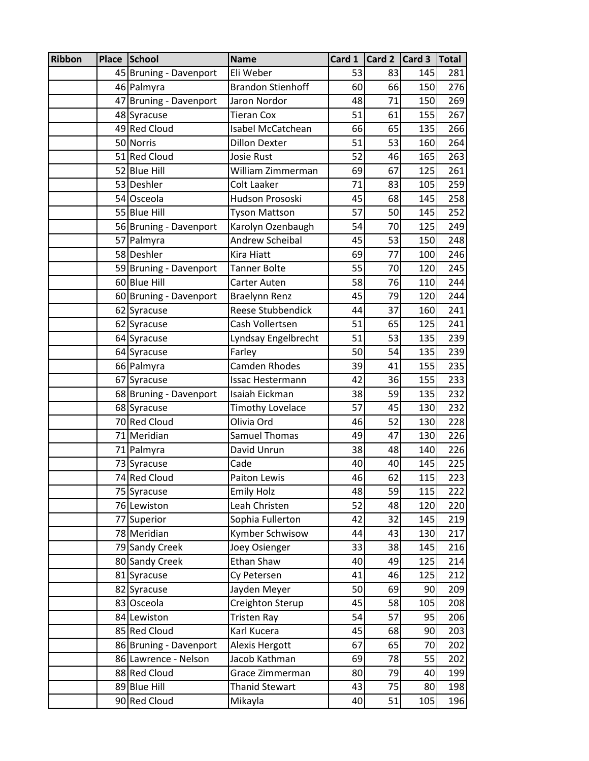| Ribbon | Place School           | <b>Name</b>              | Card 1 | Card 2 Card 3 |     | Total |
|--------|------------------------|--------------------------|--------|---------------|-----|-------|
|        | 45 Bruning - Davenport | Eli Weber                | 53     | 83            | 145 | 281   |
|        | 46 Palmyra             | <b>Brandon Stienhoff</b> | 60     | 66            | 150 | 276   |
|        | 47 Bruning - Davenport | Jaron Nordor             | 48     | 71            | 150 | 269   |
|        | 48 Syracuse            | <b>Tieran Cox</b>        | 51     | 61            | 155 | 267   |
|        | 49 Red Cloud           | Isabel McCatchean        | 66     | 65            | 135 | 266   |
|        | 50 Norris              | <b>Dillon Dexter</b>     | 51     | 53            | 160 | 264   |
|        | 51 Red Cloud           | <b>Josie Rust</b>        | 52     | 46            | 165 | 263   |
|        | 52 Blue Hill           | William Zimmerman        | 69     | 67            | 125 | 261   |
|        | 53 Deshler             | Colt Laaker              | 71     | 83            | 105 | 259   |
|        | 54 Osceola             | Hudson Prososki          | 45     | 68            | 145 | 258   |
|        | 55 Blue Hill           | <b>Tyson Mattson</b>     | 57     | 50            | 145 | 252   |
|        | 56 Bruning - Davenport | Karolyn Ozenbaugh        | 54     | 70            | 125 | 249   |
|        | 57 Palmyra             | Andrew Scheibal          | 45     | 53            | 150 | 248   |
|        | 58 Deshler             | Kira Hiatt               | 69     | 77            | 100 | 246   |
|        | 59 Bruning - Davenport | <b>Tanner Bolte</b>      | 55     | 70            | 120 | 245   |
|        | 60 Blue Hill           | Carter Auten             | 58     | 76            | 110 | 244   |
|        | 60 Bruning - Davenport | <b>Braelynn Renz</b>     | 45     | 79            | 120 | 244   |
|        | 62 Syracuse            | <b>Reese Stubbendick</b> | 44     | 37            | 160 | 241   |
|        | 62 Syracuse            | Cash Vollertsen          | 51     | 65            | 125 | 241   |
|        | 64 Syracuse            | Lyndsay Engelbrecht      | 51     | 53            | 135 | 239   |
|        | 64 Syracuse            | Farley                   | 50     | 54            | 135 | 239   |
|        | 66 Palmyra             | Camden Rhodes            | 39     | 41            | 155 | 235   |
|        | 67 Syracuse            | Issac Hestermann         | 42     | 36            | 155 | 233   |
|        | 68 Bruning - Davenport | Isaiah Eickman           | 38     | 59            | 135 | 232   |
|        | 68 Syracuse            | <b>Timothy Lovelace</b>  | 57     | 45            | 130 | 232   |
|        | 70 Red Cloud           | Olivia Ord               | 46     | 52            | 130 | 228   |
|        | 71 Meridian            | Samuel Thomas            | 49     | 47            | 130 | 226   |
|        | 71 Palmyra             | David Unrun              | 38     | 48            | 140 | 226   |
|        | 73 Syracuse            | Cade                     | 40     | 40            | 145 | 225   |
|        | 74 Red Cloud           | <b>Paiton Lewis</b>      | 46     | 62            | 115 | 223   |
|        | 75 Syracuse            | <b>Emily Holz</b>        | 48     | 59            | 115 | 222   |
|        | 76 Lewiston            | Leah Christen            | 52     | 48            | 120 | 220   |
|        | 77 Superior            | Sophia Fullerton         | 42     | 32            | 145 | 219   |
|        | 78 Meridian            | Kymber Schwisow          | 44     | 43            | 130 | 217   |
|        | 79 Sandy Creek         | Joey Osienger            | 33     | 38            | 145 | 216   |
|        | 80 Sandy Creek         | Ethan Shaw               | 40     | 49            | 125 | 214   |
|        | 81 Syracuse            | Cy Petersen              | 41     | 46            | 125 | 212   |
|        | 82 Syracuse            | Jayden Meyer             | 50     | 69            | 90  | 209   |
|        | 83 Osceola             | Creighton Sterup         | 45     | 58            | 105 | 208   |
|        | 84 Lewiston            | <b>Tristen Ray</b>       | 54     | 57            | 95  | 206   |
|        | 85 Red Cloud           | Karl Kucera              | 45     | 68            | 90  | 203   |
|        | 86 Bruning - Davenport | Alexis Hergott           | 67     | 65            | 70  | 202   |
|        | 86 Lawrence - Nelson   | Jacob Kathman            | 69     | 78            | 55  | 202   |
|        | 88 Red Cloud           | Grace Zimmerman          | 80     | 79            | 40  | 199   |
|        | 89 Blue Hill           | <b>Thanid Stewart</b>    | 43     | 75            | 80  | 198   |
|        | 90 Red Cloud           | Mikayla                  | 40     | 51            | 105 | 196   |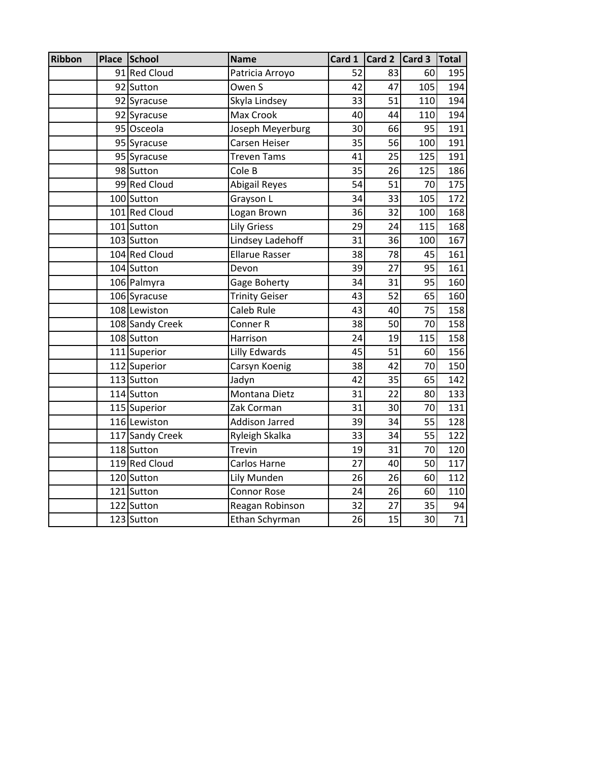| <b>Ribbon</b> | Place School    | <b>Name</b>           | Card 1 | Card 2 | Card 3 | Total |
|---------------|-----------------|-----------------------|--------|--------|--------|-------|
|               | 91 Red Cloud    | Patricia Arroyo       | 52     | 83     | 60     | 195   |
|               | 92 Sutton       | Owen S                | 42     | 47     | 105    | 194   |
|               | 92 Syracuse     | Skyla Lindsey         | 33     | 51     | 110    | 194   |
|               | 92 Syracuse     | Max Crook             | 40     | 44     | 110    | 194   |
|               | 95 Osceola      | Joseph Meyerburg      | 30     | 66     | 95     | 191   |
|               | 95 Syracuse     | Carsen Heiser         | 35     | 56     | 100    | 191   |
|               | 95 Syracuse     | <b>Treven Tams</b>    | 41     | 25     | 125    | 191   |
|               | 98 Sutton       | Cole B                | 35     | 26     | 125    | 186   |
|               | 99 Red Cloud    | Abigail Reyes         | 54     | 51     | 70     | 175   |
|               | 100 Sutton      | Grayson L             | 34     | 33     | 105    | 172   |
|               | 101 Red Cloud   | Logan Brown           | 36     | 32     | 100    | 168   |
|               | 101 Sutton      | <b>Lily Griess</b>    | 29     | 24     | 115    | 168   |
|               | 103 Sutton      | Lindsey Ladehoff      | 31     | 36     | 100    | 167   |
|               | 104 Red Cloud   | <b>Ellarue Rasser</b> | 38     | 78     | 45     | 161   |
|               | 104 Sutton      | Devon                 | 39     | 27     | 95     | 161   |
|               | 106 Palmyra     | Gage Boherty          | 34     | 31     | 95     | 160   |
|               | 106 Syracuse    | <b>Trinity Geiser</b> | 43     | 52     | 65     | 160   |
|               | 108 Lewiston    | Caleb Rule            | 43     | 40     | 75     | 158   |
|               | 108 Sandy Creek | Conner <sub>R</sub>   | 38     | 50     | 70     | 158   |
|               | 108 Sutton      | Harrison              | 24     | 19     | 115    | 158   |
|               | 111 Superior    | <b>Lilly Edwards</b>  | 45     | 51     | 60     | 156   |
|               | 112 Superior    | Carsyn Koenig         | 38     | 42     | 70     | 150   |
|               | 113 Sutton      | Jadyn                 | 42     | 35     | 65     | 142   |
|               | 114 Sutton      | Montana Dietz         | 31     | 22     | 80     | 133   |
|               | 115 Superior    | Zak Corman            | 31     | 30     | 70     | 131   |
|               | 116 Lewiston    | Addison Jarred        | 39     | 34     | 55     | 128   |
|               | 117 Sandy Creek | Ryleigh Skalka        | 33     | 34     | 55     | 122   |
|               | 118 Sutton      | Trevin                | 19     | 31     | 70     | 120   |
|               | 119 Red Cloud   | Carlos Harne          | 27     | 40     | 50     | 117   |
|               | 120 Sutton      | Lily Munden           | 26     | 26     | 60     | 112   |
|               | 121 Sutton      | Connor Rose           | 24     | 26     | 60     | 110   |
|               | 122 Sutton      | Reagan Robinson       | 32     | 27     | 35     | 94    |
|               | 123 Sutton      | Ethan Schyrman        | 26     | 15     | 30     | 71    |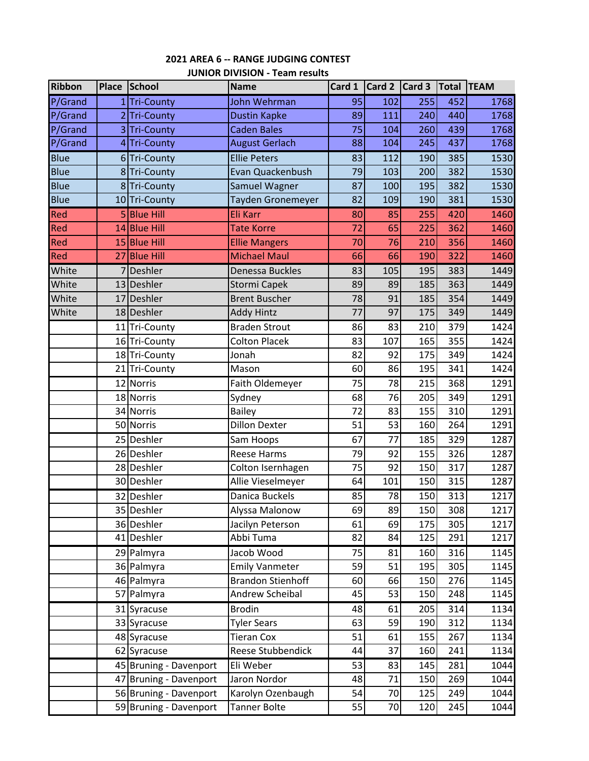| <b>Ribbon</b> | <b>Place</b> | School                 | <b>Name</b>              | Card 1 | Card 2 | Card 3 | Total TEAM |      |
|---------------|--------------|------------------------|--------------------------|--------|--------|--------|------------|------|
| P/Grand       |              | 1 Tri-County           | John Wehrman             | 95     | 102    | 255    | 452        | 1768 |
| P/Grand       |              | 2Tri-County            | <b>Dustin Kapke</b>      | 89     | 111    | 240    | 440        | 1768 |
| P/Grand       |              | 3Tri-County            | <b>Caden Bales</b>       | 75     | 104    | 260    | 439        | 1768 |
| P/Grand       |              | 4Tri-County            | <b>August Gerlach</b>    | 88     | 104    | 245    | 437        | 1768 |
| <b>Blue</b>   |              | 6Tri-County            | <b>Ellie Peters</b>      | 83     | 112    | 190    | 385        | 1530 |
| <b>Blue</b>   |              | 8Tri-County            | Evan Quackenbush         | 79     | 103    | 200    | 382        | 1530 |
| <b>Blue</b>   |              | 8Tri-County            | Samuel Wagner            | 87     | 100    | 195    | 382        | 1530 |
| <b>Blue</b>   |              | 10Tri-County           | Tayden Gronemeyer        | 82     | 109    | 190    | 381        | 1530 |
| Red           |              | 5Blue Hill             | Eli Karr                 | 80     | 85     | 255    | 420        | 1460 |
| Red           | 14           | <b>Blue Hill</b>       | <b>Tate Korre</b>        | 72     | 65     | 225    | 362        | 1460 |
| Red           |              | 15 Blue Hill           | <b>Ellie Mangers</b>     | 70     | 76     | 210    | 356        | 1460 |
| Red           | 27           | <b>Blue Hill</b>       | <b>Michael Maul</b>      | 66     | 66     | 190    | 322        | 1460 |
| White         |              | Deshler                | Denessa Buckles          | 83     | 105    | 195    | 383        | 1449 |
| White         |              | 13 Deshler             | Stormi Capek             | 89     | 89     | 185    | 363        | 1449 |
| White         | 17           | Deshler                | <b>Brent Buscher</b>     | 78     | 91     | 185    | 354        | 1449 |
| White         |              | 18 Deshler             | <b>Addy Hintz</b>        | 77     | 97     | 175    | 349        | 1449 |
|               |              | 11 Tri-County          | <b>Braden Strout</b>     | 86     | 83     | 210    | 379        | 1424 |
|               |              | 16 Tri-County          | <b>Colton Placek</b>     | 83     | 107    | 165    | 355        | 1424 |
|               |              | 18Tri-County           | Jonah                    | 82     | 92     | 175    | 349        | 1424 |
|               |              | 21 Tri-County          | Mason                    | 60     | 86     | 195    | 341        | 1424 |
|               |              | 12 Norris              | Faith Oldemeyer          | 75     | 78     | 215    | 368        | 1291 |
|               |              | 18 Norris              | Sydney                   | 68     | 76     | 205    | 349        | 1291 |
|               |              | 34 Norris              | <b>Bailey</b>            | 72     | 83     | 155    | 310        | 1291 |
|               |              | 50 Norris              | <b>Dillon Dexter</b>     | 51     | 53     | 160    | 264        | 1291 |
|               |              | 25 Deshler             | Sam Hoops                | 67     | 77     | 185    | 329        | 1287 |
|               |              | 26 Deshler             | <b>Reese Harms</b>       | 79     | 92     | 155    | 326        | 1287 |
|               |              | 28 Deshler             | Colton Isernhagen        | 75     | 92     | 150    | 317        | 1287 |
|               |              | 30 Deshler             | Allie Vieselmeyer        | 64     | 101    | 150    | 315        | 1287 |
|               |              | 32 Deshler             | Danica Buckels           | 85     | 78     | 150    | 313        | 1217 |
|               |              | 35 Deshler             | Alyssa Malonow           | 69     | 89     | 150    | 308        | 1217 |
|               |              | 36 Deshler             | Jacilyn Peterson         | 61     | 69     | 175    | 305        | 1217 |
|               |              | 41 Deshler             | Abbi Tuma                | 82     | 84     | 125    | 291        | 1217 |
|               |              | 29 Palmyra             | Jacob Wood               | 75     | 81     | 160    | 316        | 1145 |
|               |              | 36 Palmyra             | <b>Emily Vanmeter</b>    | 59     | 51     | 195    | 305        | 1145 |
|               |              | 46 Palmyra             | <b>Brandon Stienhoff</b> | 60     | 66     | 150    | 276        | 1145 |
|               |              | 57 Palmyra             | Andrew Scheibal          | 45     | 53     | 150    | 248        | 1145 |
|               |              | 31 Syracuse            | <b>Brodin</b>            | 48     | 61     | 205    | 314        | 1134 |
|               |              | 33 Syracuse            | <b>Tyler Sears</b>       | 63     | 59     | 190    | 312        | 1134 |
|               |              | 48 Syracuse            | <b>Tieran Cox</b>        | 51     | 61     | 155    | 267        | 1134 |
|               |              | 62 Syracuse            | <b>Reese Stubbendick</b> | 44     | 37     | 160    | 241        | 1134 |
|               |              | 45 Bruning - Davenport | Eli Weber                | 53     | 83     | 145    | 281        | 1044 |
|               |              | 47 Bruning - Davenport | Jaron Nordor             | 48     | 71     | 150    | 269        | 1044 |
|               |              | 56 Bruning - Davenport | Karolyn Ozenbaugh        | 54     | 70     | 125    | 249        | 1044 |
|               |              | 59 Bruning - Davenport | Tanner Bolte             | 55     | 70     | 120    | 245        | 1044 |

### **2021 AREA 6 -- RANGE JUDGING CONTEST JUNIOR DIVISION - Team results**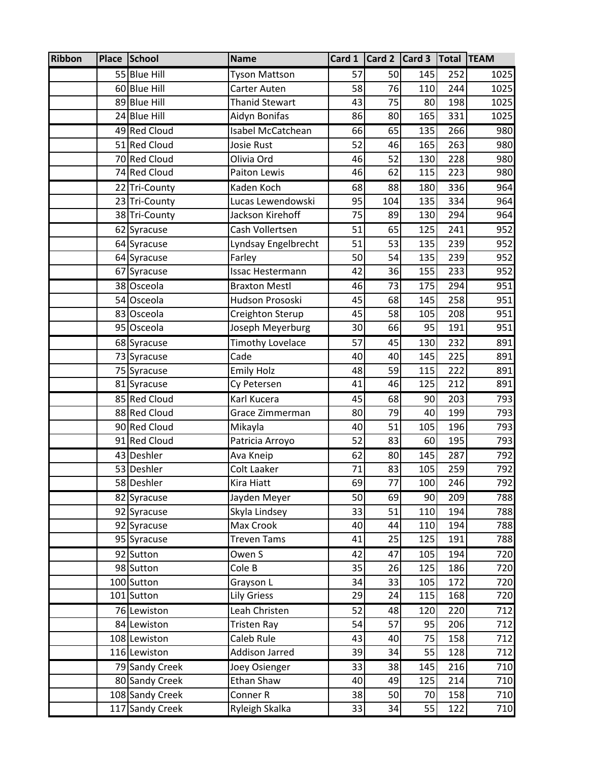| <b>Ribbon</b> | Place School    | <b>Name</b>             |    |     | Card 1   Card 2   Card 3   Total   TEAM |     |      |
|---------------|-----------------|-------------------------|----|-----|-----------------------------------------|-----|------|
|               | 55 Blue Hill    | <b>Tyson Mattson</b>    | 57 | 50  | 145                                     | 252 | 1025 |
|               | 60 Blue Hill    | Carter Auten            | 58 | 76  | 110                                     | 244 | 1025 |
|               | 89 Blue Hill    | <b>Thanid Stewart</b>   | 43 | 75  | 80                                      | 198 | 1025 |
|               | 24 Blue Hill    | Aidyn Bonifas           | 86 | 80  | 165                                     | 331 | 1025 |
|               | 49 Red Cloud    | Isabel McCatchean       | 66 | 65  | 135                                     | 266 | 980  |
|               | 51 Red Cloud    | Josie Rust              | 52 | 46  | 165                                     | 263 | 980  |
|               | 70 Red Cloud    | Olivia Ord              | 46 | 52  | 130                                     | 228 | 980  |
|               | 74 Red Cloud    | Paiton Lewis            | 46 | 62  | 115                                     | 223 | 980  |
|               | 22 Tri-County   | Kaden Koch              | 68 | 88  | 180                                     | 336 | 964  |
|               | 23 Tri-County   | Lucas Lewendowski       | 95 | 104 | 135                                     | 334 | 964  |
|               | 38 Tri-County   | Jackson Kirehoff        | 75 | 89  | 130                                     | 294 | 964  |
|               | 62 Syracuse     | Cash Vollertsen         | 51 | 65  | 125                                     | 241 | 952  |
|               | 64 Syracuse     | Lyndsay Engelbrecht     | 51 | 53  | 135                                     | 239 | 952  |
|               | 64 Syracuse     | Farley                  | 50 | 54  | 135                                     | 239 | 952  |
|               | 67 Syracuse     | <b>Issac Hestermann</b> | 42 | 36  | 155                                     | 233 | 952  |
|               | 38 Osceola      | <b>Braxton Mestl</b>    | 46 | 73  | 175                                     | 294 | 951  |
|               | 54 Osceola      | Hudson Prososki         | 45 | 68  | 145                                     | 258 | 951  |
|               | 83 Osceola      | Creighton Sterup        | 45 | 58  | 105                                     | 208 | 951  |
|               | 95 Osceola      | Joseph Meyerburg        | 30 | 66  | 95                                      | 191 | 951  |
|               | 68 Syracuse     | <b>Timothy Lovelace</b> | 57 | 45  | 130                                     | 232 | 891  |
|               | 73 Syracuse     | Cade                    | 40 | 40  | 145                                     | 225 | 891  |
|               | 75 Syracuse     | <b>Emily Holz</b>       | 48 | 59  | 115                                     | 222 | 891  |
|               | 81 Syracuse     | Cy Petersen             | 41 | 46  | 125                                     | 212 | 891  |
|               | 85 Red Cloud    | Karl Kucera             | 45 | 68  | 90                                      | 203 | 793  |
|               | 88 Red Cloud    | Grace Zimmerman         | 80 | 79  | 40                                      | 199 | 793  |
|               | 90 Red Cloud    | Mikayla                 | 40 | 51  | 105                                     | 196 | 793  |
|               | 91 Red Cloud    | Patricia Arroyo         | 52 | 83  | 60                                      | 195 | 793  |
|               | 43 Deshler      | Ava Kneip               | 62 | 80  | 145                                     | 287 | 792  |
|               | 53 Deshler      | Colt Laaker             | 71 | 83  | 105                                     | 259 | 792  |
|               | 58 Deshler      | Kira Hiatt              | 69 | 77  | 100                                     | 246 | 792  |
|               | 82 Syracuse     | Jayden Meyer            | 50 | 69  | 90                                      | 209 | 788  |
|               | 92 Syracuse     | Skyla Lindsey           | 33 | 51  | 110                                     | 194 | 788  |
|               | 92 Syracuse     | Max Crook               | 40 | 44  | 110                                     | 194 | 788  |
|               | 95 Syracuse     | <b>Treven Tams</b>      | 41 | 25  | 125                                     | 191 | 788  |
|               | 92 Sutton       | Owen S                  | 42 | 47  | 105                                     | 194 | 720  |
|               | 98 Sutton       | Cole B                  | 35 | 26  | 125                                     | 186 | 720  |
|               | 100 Sutton      | Grayson L               | 34 | 33  | 105                                     | 172 | 720  |
|               | 101 Sutton      | <b>Lily Griess</b>      | 29 | 24  | 115                                     | 168 | 720  |
|               | 76 Lewiston     | Leah Christen           | 52 | 48  | 120                                     | 220 | 712  |
|               | 84 Lewiston     | <b>Tristen Ray</b>      | 54 | 57  | 95                                      | 206 | 712  |
|               | 108 Lewiston    | Caleb Rule              | 43 | 40  | 75                                      | 158 | 712  |
|               | 116 Lewiston    | <b>Addison Jarred</b>   | 39 | 34  | 55                                      | 128 | 712  |
|               | 79 Sandy Creek  | Joey Osienger           | 33 | 38  | 145                                     | 216 | 710  |
|               | 80 Sandy Creek  | Ethan Shaw              | 40 | 49  | 125                                     | 214 | 710  |
|               | 108 Sandy Creek | Conner R                | 38 | 50  | 70                                      | 158 | 710  |
|               | 117 Sandy Creek | Ryleigh Skalka          | 33 | 34  | 55                                      | 122 | 710  |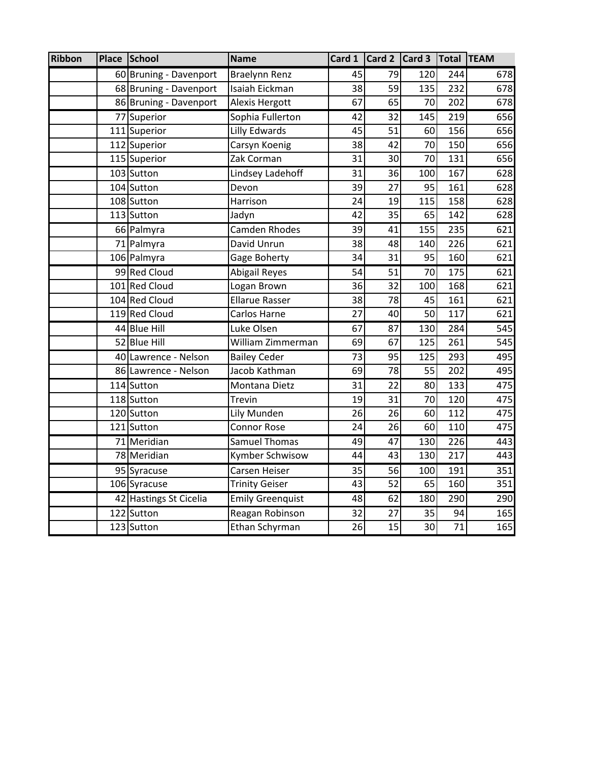| <b>Ribbon</b> | <b>Place</b> | School                 | <b>Name</b>             | Card 1 | Card 2 | Card 3 | <b>Total</b> | <b>TEAM</b> |
|---------------|--------------|------------------------|-------------------------|--------|--------|--------|--------------|-------------|
|               |              | 60 Bruning - Davenport | <b>Braelynn Renz</b>    | 45     | 79     | 120    | 244          | 678         |
|               |              | 68 Bruning - Davenport | Isaiah Eickman          | 38     | 59     | 135    | 232          | 678         |
|               |              | 86 Bruning - Davenport | Alexis Hergott          | 67     | 65     | 70     | 202          | 678         |
|               |              | 77 Superior            | Sophia Fullerton        | 42     | 32     | 145    | 219          | 656         |
|               |              | 111 Superior           | Lilly Edwards           | 45     | 51     | 60     | 156          | 656         |
|               |              | 112 Superior           | Carsyn Koenig           | 38     | 42     | 70     | 150          | 656         |
|               |              | 115 Superior           | Zak Corman              | 31     | 30     | 70     | 131          | 656         |
|               |              | 103 Sutton             | Lindsey Ladehoff        | 31     | 36     | 100    | 167          | 628         |
|               |              | 104 Sutton             | Devon                   | 39     | 27     | 95     | 161          | 628         |
|               |              | 108 Sutton             | Harrison                | 24     | 19     | 115    | 158          | 628         |
|               |              | 113 Sutton             | Jadyn                   | 42     | 35     | 65     | 142          | 628         |
|               |              | 66 Palmyra             | <b>Camden Rhodes</b>    | 39     | 41     | 155    | 235          | 621         |
|               |              | 71 Palmyra             | David Unrun             | 38     | 48     | 140    | 226          | 621         |
|               |              | 106 Palmyra            | Gage Boherty            | 34     | 31     | 95     | 160          | 621         |
|               |              | 99 Red Cloud           | Abigail Reyes           | 54     | 51     | 70     | 175          | 621         |
|               | 101          | <b>Red Cloud</b>       | Logan Brown             | 36     | 32     | 100    | 168          | 621         |
|               |              | 104 Red Cloud          | <b>Ellarue Rasser</b>   | 38     | 78     | 45     | 161          | 621         |
|               |              | 119 Red Cloud          | Carlos Harne            | 27     | 40     | 50     | 117          | 621         |
|               |              | 44 Blue Hill           | Luke Olsen              | 67     | 87     | 130    | 284          | 545         |
|               |              | 52 Blue Hill           | William Zimmerman       | 69     | 67     | 125    | 261          | 545         |
|               |              | 40 Lawrence - Nelson   | <b>Bailey Ceder</b>     | 73     | 95     | 125    | 293          | 495         |
|               |              | 86 Lawrence - Nelson   | Jacob Kathman           | 69     | 78     | 55     | 202          | 495         |
|               |              | 114 Sutton             | Montana Dietz           | 31     | 22     | 80     | 133          | 475         |
|               |              | 118 Sutton             | Trevin                  | 19     | 31     | 70     | 120          | 475         |
|               |              | 120 Sutton             | Lily Munden             | 26     | 26     | 60     | 112          | 475         |
|               |              | 121 Sutton             | <b>Connor Rose</b>      | 24     | 26     | 60     | 110          | 475         |
|               |              | 71 Meridian            | Samuel Thomas           | 49     | 47     | 130    | 226          | 443         |
|               |              | 78 Meridian            | Kymber Schwisow         | 44     | 43     | 130    | 217          | 443         |
|               |              | 95 Syracuse            | Carsen Heiser           | 35     | 56     | 100    | 191          | 351         |
|               |              | 106 Syracuse           | <b>Trinity Geiser</b>   | 43     | 52     | 65     | 160          | 351         |
|               |              | 42 Hastings St Cicelia | <b>Emily Greenquist</b> | 48     | 62     | 180    | 290          | 290         |
|               |              | 122 Sutton             | Reagan Robinson         | 32     | 27     | 35     | 94           | 165         |
|               |              | 123 Sutton             | Ethan Schyrman          | 26     | 15     | 30     | 71           | 165         |